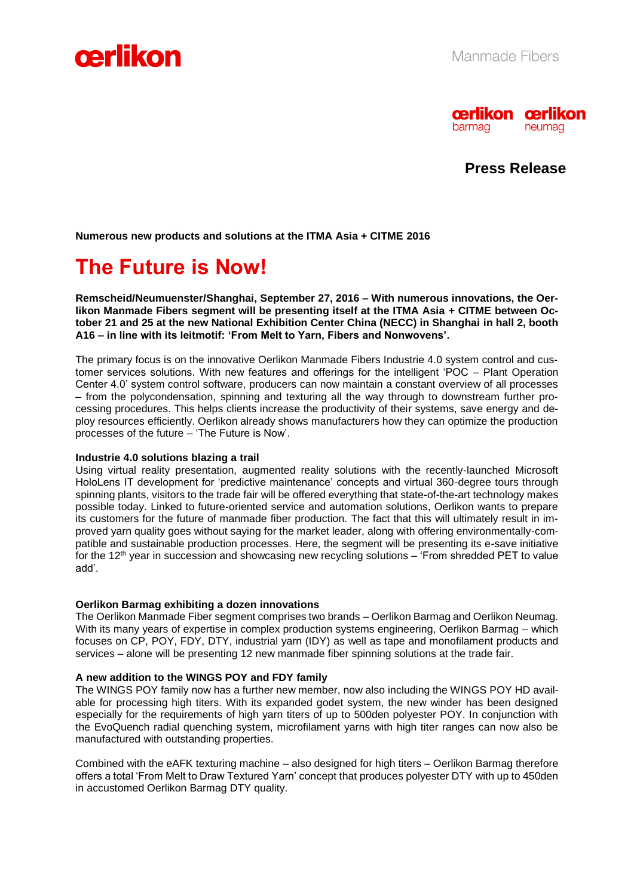



### **Press Release**

**Numerous new products and solutions at the ITMA Asia + CITME 2016**

## **The Future is Now!**

**Remscheid/Neumuenster/Shanghai, September 27, 2016 – With numerous innovations, the Oerlikon Manmade Fibers segment will be presenting itself at the ITMA Asia + CITME between October 21 and 25 at the new National Exhibition Center China (NECC) in Shanghai in hall 2, booth A16 – in line with its leitmotif: 'From Melt to Yarn, Fibers and Nonwovens'.**

The primary focus is on the innovative Oerlikon Manmade Fibers Industrie 4.0 system control and customer services solutions. With new features and offerings for the intelligent 'POC – Plant Operation Center 4.0' system control software, producers can now maintain a constant overview of all processes – from the polycondensation, spinning and texturing all the way through to downstream further processing procedures. This helps clients increase the productivity of their systems, save energy and deploy resources efficiently. Oerlikon already shows manufacturers how they can optimize the production processes of the future – 'The Future is Now'.

#### **Industrie 4.0 solutions blazing a trail**

Using virtual reality presentation, augmented reality solutions with the recently-launched Microsoft HoloLens IT development for 'predictive maintenance' concepts and virtual 360-degree tours through spinning plants, visitors to the trade fair will be offered everything that state-of-the-art technology makes possible today. Linked to future-oriented service and automation solutions, Oerlikon wants to prepare its customers for the future of manmade fiber production. The fact that this will ultimately result in improved yarn quality goes without saying for the market leader, along with offering environmentally-compatible and sustainable production processes. Here, the segment will be presenting its e-save initiative for the 12<sup>th</sup> year in succession and showcasing new recycling solutions – 'From shredded PET to value add'.

#### **Oerlikon Barmag exhibiting a dozen innovations**

The Oerlikon Manmade Fiber segment comprises two brands – Oerlikon Barmag and Oerlikon Neumag. With its many years of expertise in complex production systems engineering, Oerlikon Barmag – which focuses on CP, POY, FDY, DTY, industrial yarn (IDY) as well as tape and monofilament products and services – alone will be presenting 12 new manmade fiber spinning solutions at the trade fair.

#### **A new addition to the WINGS POY and FDY family**

The WINGS POY family now has a further new member, now also including the WINGS POY HD available for processing high titers. With its expanded godet system, the new winder has been designed especially for the requirements of high yarn titers of up to 500den polyester POY. In conjunction with the EvoQuench radial quenching system, microfilament yarns with high titer ranges can now also be manufactured with outstanding properties.

Combined with the eAFK texturing machine – also designed for high titers – Oerlikon Barmag therefore offers a total 'From Melt to Draw Textured Yarn' concept that produces polyester DTY with up to 450den in accustomed Oerlikon Barmag DTY quality.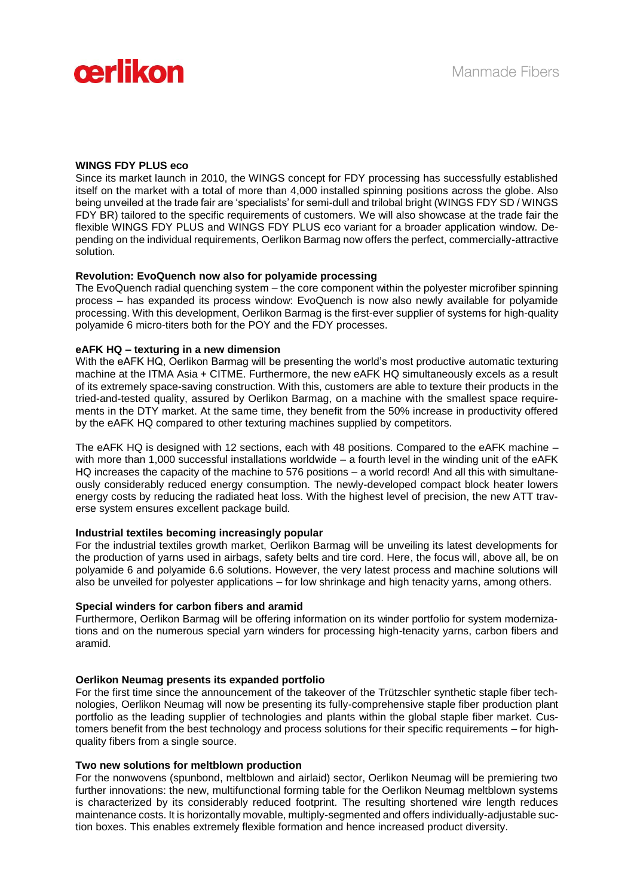

#### **WINGS FDY PLUS eco**

Since its market launch in 2010, the WINGS concept for FDY processing has successfully established itself on the market with a total of more than 4,000 installed spinning positions across the globe. Also being unveiled at the trade fair are 'specialists' for semi-dull and trilobal bright (WINGS FDY SD / WINGS FDY BR) tailored to the specific requirements of customers. We will also showcase at the trade fair the flexible WINGS FDY PLUS and WINGS FDY PLUS eco variant for a broader application window. Depending on the individual requirements, Oerlikon Barmag now offers the perfect, commercially-attractive solution.

#### **Revolution: EvoQuench now also for polyamide processing**

The EvoQuench radial quenching system – the core component within the polyester microfiber spinning process – has expanded its process window: EvoQuench is now also newly available for polyamide processing. With this development, Oerlikon Barmag is the first-ever supplier of systems for high-quality polyamide 6 micro-titers both for the POY and the FDY processes.

#### **eAFK HQ – texturing in a new dimension**

With the eAFK HQ, Oerlikon Barmag will be presenting the world's most productive automatic texturing machine at the ITMA Asia + CITME. Furthermore, the new eAFK HQ simultaneously excels as a result of its extremely space-saving construction. With this, customers are able to texture their products in the tried-and-tested quality, assured by Oerlikon Barmag, on a machine with the smallest space requirements in the DTY market. At the same time, they benefit from the 50% increase in productivity offered by the eAFK HQ compared to other texturing machines supplied by competitors.

The eAFK HQ is designed with 12 sections, each with 48 positions. Compared to the eAFK machine – with more than 1,000 successful installations worldwide – a fourth level in the winding unit of the eAFK HQ increases the capacity of the machine to 576 positions – a world record! And all this with simultaneously considerably reduced energy consumption. The newly-developed compact block heater lowers energy costs by reducing the radiated heat loss. With the highest level of precision, the new ATT traverse system ensures excellent package build.

#### **Industrial textiles becoming increasingly popular**

For the industrial textiles growth market, Oerlikon Barmag will be unveiling its latest developments for the production of yarns used in airbags, safety belts and tire cord. Here, the focus will, above all, be on polyamide 6 and polyamide 6.6 solutions. However, the very latest process and machine solutions will also be unveiled for polyester applications – for low shrinkage and high tenacity yarns, among others.

#### **Special winders for carbon fibers and aramid**

Furthermore, Oerlikon Barmag will be offering information on its winder portfolio for system modernizations and on the numerous special yarn winders for processing high-tenacity yarns, carbon fibers and aramid.

#### **Oerlikon Neumag presents its expanded portfolio**

For the first time since the announcement of the takeover of the Trützschler synthetic staple fiber technologies, Oerlikon Neumag will now be presenting its fully-comprehensive staple fiber production plant portfolio as the leading supplier of technologies and plants within the global staple fiber market. Customers benefit from the best technology and process solutions for their specific requirements – for highquality fibers from a single source.

#### **Two new solutions for meltblown production**

For the nonwovens (spunbond, meltblown and airlaid) sector, Oerlikon Neumag will be premiering two further innovations: the new, multifunctional forming table for the Oerlikon Neumag meltblown systems is characterized by its considerably reduced footprint. The resulting shortened wire length reduces maintenance costs. It is horizontally movable, multiply-segmented and offers individually-adjustable suction boxes. This enables extremely flexible formation and hence increased product diversity.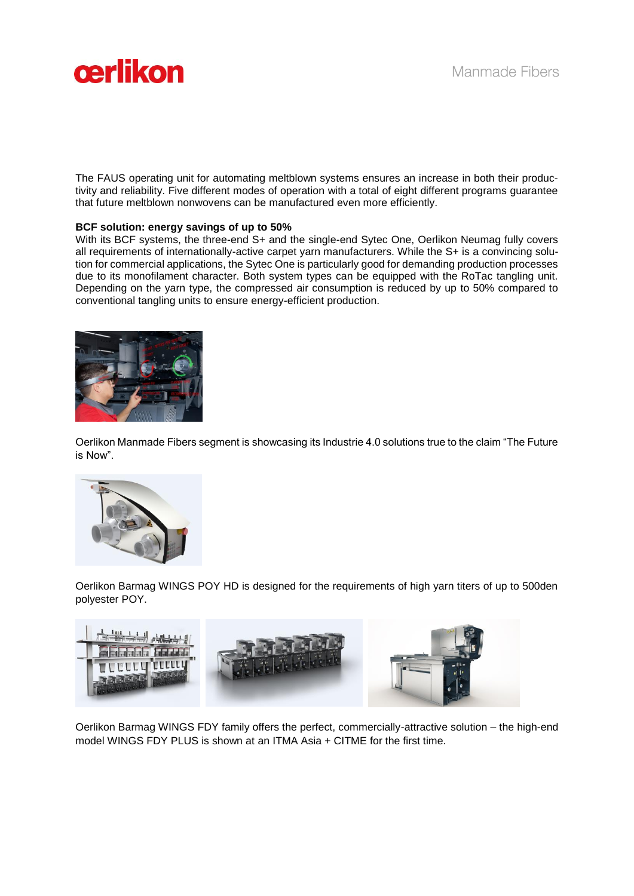

The FAUS operating unit for automating meltblown systems ensures an increase in both their productivity and reliability. Five different modes of operation with a total of eight different programs guarantee that future meltblown nonwovens can be manufactured even more efficiently.

#### **BCF solution: energy savings of up to 50%**

With its BCF systems, the three-end S+ and the single-end Sytec One, Oerlikon Neumag fully covers all requirements of internationally-active carpet yarn manufacturers. While the S+ is a convincing solution for commercial applications, the Sytec One is particularly good for demanding production processes due to its monofilament character. Both system types can be equipped with the RoTac tangling unit. Depending on the yarn type, the compressed air consumption is reduced by up to 50% compared to conventional tangling units to ensure energy-efficient production.



Oerlikon Manmade Fibers segment is showcasing its Industrie 4.0 solutions true to the claim "The Future is Now".



Oerlikon Barmag WINGS POY HD is designed for the requirements of high yarn titers of up to 500den polyester POY.



Oerlikon Barmag WINGS FDY family offers the perfect, commercially-attractive solution – the high-end model WINGS FDY PLUS is shown at an ITMA Asia + CITME for the first time.